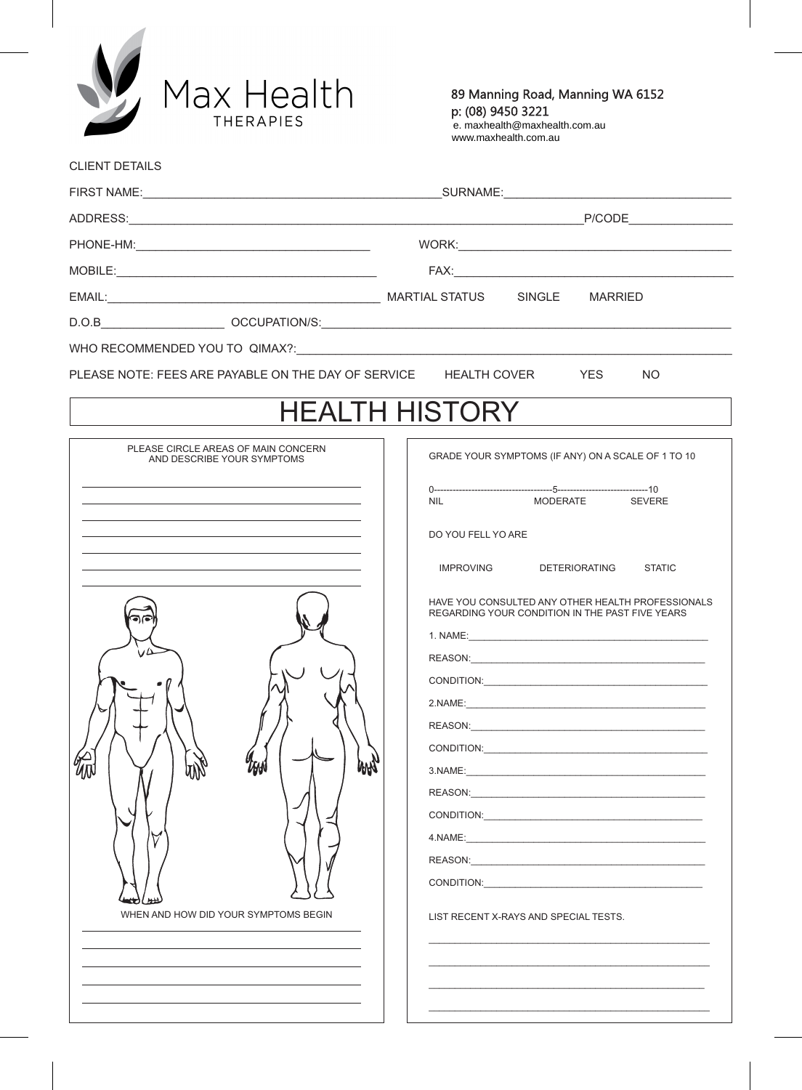

CLIENT DETAILS

89 Manning Road, Manning WA 6152 p: (08) 9450 3221 extended to the set of  $\alpha$ 

e. maxhealth@maxhealth.com.au www.maxhealth.com.au

| PLEASE NOTE: FEES ARE PAYABLE ON THE DAY OF SERVICE HEALTH COVER                                                                                                                                                                                                                                                                                                                                                                                                                                                                                                                                                                                                                                                                                                                          | <b>YES</b><br><b>NO</b>                                                                                                                                                                                                                                                                                                          |  |  |
|-------------------------------------------------------------------------------------------------------------------------------------------------------------------------------------------------------------------------------------------------------------------------------------------------------------------------------------------------------------------------------------------------------------------------------------------------------------------------------------------------------------------------------------------------------------------------------------------------------------------------------------------------------------------------------------------------------------------------------------------------------------------------------------------|----------------------------------------------------------------------------------------------------------------------------------------------------------------------------------------------------------------------------------------------------------------------------------------------------------------------------------|--|--|
|                                                                                                                                                                                                                                                                                                                                                                                                                                                                                                                                                                                                                                                                                                                                                                                           | <b>HEALTH HISTORY</b>                                                                                                                                                                                                                                                                                                            |  |  |
| PLEASE CIRCLE AREAS OF MAIN CONCERN<br>AND DESCRIBE YOUR SYMPTOMS<br>the control of the control of the control of the control of the control of the control of<br><u> 1989 - Johann Barn, mars ann an t-Amhain ann an t-Amhain ann an t-Amhain ann an t-Amhain an t-Amhain ann an t-</u><br><u> 1989 - Johann Stoff, deutscher Stoff, der Stoff, der Stoff, der Stoff, der Stoff, der Stoff, der Stoff, der S</u><br><u> 1989 - Johann Stein, marwolaethau a bhann an t-Amhain ann an t-Amhain an t-Amhain an t-Amhain an t-Amhain an </u><br><u> 1989 - Johann Stoff, amerikansk politiker (* 1908)</u><br>and the control of the control of the control of the control of the control of the control of the control of the<br>ZFAN<br><b>WW</b><br>WHEN AND HOW DID YOUR SYMPTOMS BEGIN | GRADE YOUR SYMPTOMS (IF ANY) ON A SCALE OF 1 TO 10<br>MODERATE SEVERE<br><b>NIL</b><br>DO YOU FELL YO ARE<br>IMPROVING DETERIORATING STATIC<br>HAVE YOU CONSULTED ANY OTHER HEALTH PROFESSIONALS<br>REGARDING YOUR CONDITION IN THE PAST FIVE YEARS<br>2.NAME:<br>CONDITION: CONDITION:<br>LIST RECENT X-RAYS AND SPECIAL TESTS. |  |  |
|                                                                                                                                                                                                                                                                                                                                                                                                                                                                                                                                                                                                                                                                                                                                                                                           |                                                                                                                                                                                                                                                                                                                                  |  |  |